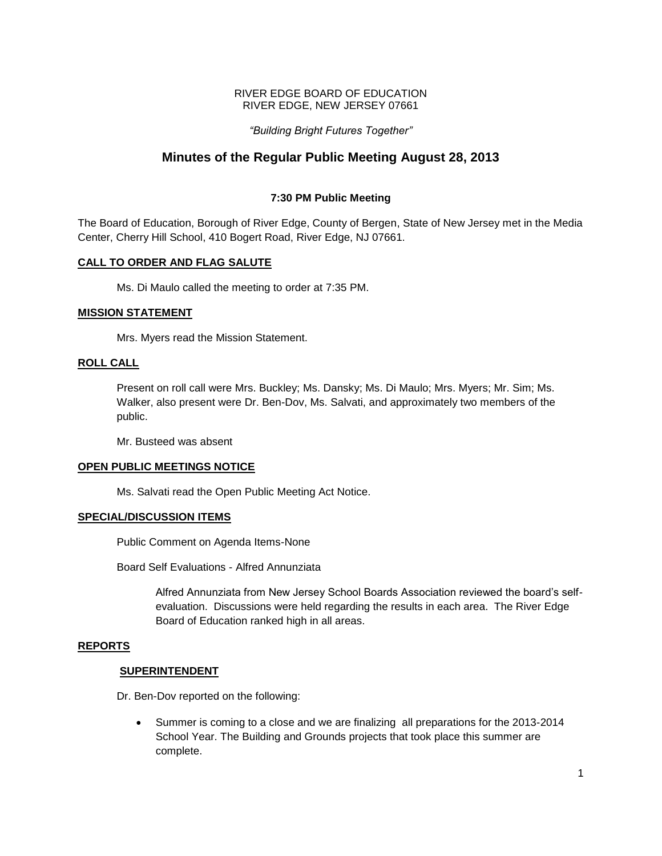## RIVER EDGE BOARD OF EDUCATION RIVER EDGE, NEW JERSEY 07661

## *"Building Bright Futures Together"*

# **Minutes of the Regular Public Meeting August 28, 2013**

## **7:30 PM Public Meeting**

The Board of Education, Borough of River Edge, County of Bergen, State of New Jersey met in the Media Center, Cherry Hill School, 410 Bogert Road, River Edge, NJ 07661.

## **CALL TO ORDER AND FLAG SALUTE**

Ms. Di Maulo called the meeting to order at 7:35 PM.

## **MISSION STATEMENT**

Mrs. Myers read the Mission Statement.

## **ROLL CALL**

Present on roll call were Mrs. Buckley; Ms. Dansky; Ms. Di Maulo; Mrs. Myers; Mr. Sim; Ms. Walker, also present were Dr. Ben-Dov, Ms. Salvati, and approximately two members of the public.

Mr. Busteed was absent

## **OPEN PUBLIC MEETINGS NOTICE**

Ms. Salvati read the Open Public Meeting Act Notice.

## **SPECIAL/DISCUSSION ITEMS**

Public Comment on Agenda Items-None

Board Self Evaluations - Alfred Annunziata

Alfred Annunziata from New Jersey School Boards Association reviewed the board's selfevaluation. Discussions were held regarding the results in each area. The River Edge Board of Education ranked high in all areas.

## **REPORTS**

## **SUPERINTENDENT**

Dr. Ben-Dov reported on the following:

 Summer is coming to a close and we are finalizing all preparations for the 2013-2014 School Year. The Building and Grounds projects that took place this summer are complete.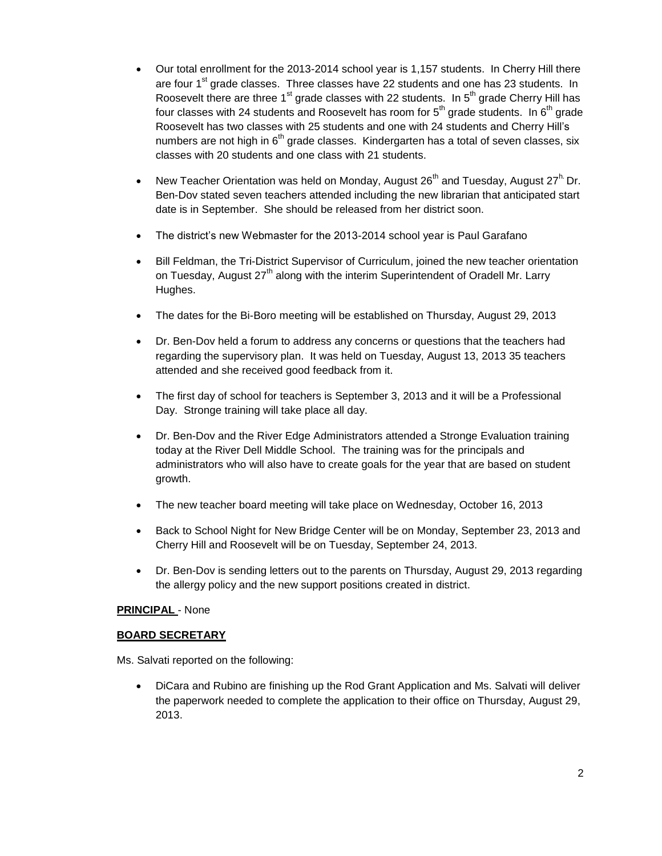- Our total enrollment for the 2013-2014 school year is 1,157 students. In Cherry Hill there are four 1<sup>st</sup> grade classes. Three classes have 22 students and one has 23 students. In Roosevelt there are three  $1<sup>st</sup>$  grade classes with 22 students. In  $5<sup>th</sup>$  grade Cherry Hill has four classes with 24 students and Roosevelt has room for  $5<sup>th</sup>$  grade students. In  $6<sup>th</sup>$  grade Roosevelt has two classes with 25 students and one with 24 students and Cherry Hill's numbers are not high in 6<sup>th</sup> grade classes. Kindergarten has a total of seven classes, six classes with 20 students and one class with 21 students.
- New Teacher Orientation was held on Monday, August 26<sup>th</sup> and Tuesday, August 27<sup>h.</sup> Dr. Ben-Dov stated seven teachers attended including the new librarian that anticipated start date is in September. She should be released from her district soon.
- The district's new Webmaster for the 2013-2014 school year is Paul Garafano
- Bill Feldman, the Tri-District Supervisor of Curriculum, joined the new teacher orientation on Tuesday, August 27<sup>th</sup> along with the interim Superintendent of Oradell Mr. Larry Hughes.
- The dates for the Bi-Boro meeting will be established on Thursday, August 29, 2013
- Dr. Ben-Dov held a forum to address any concerns or questions that the teachers had regarding the supervisory plan. It was held on Tuesday, August 13, 2013 35 teachers attended and she received good feedback from it.
- The first day of school for teachers is September 3, 2013 and it will be a Professional Day. Stronge training will take place all day.
- Dr. Ben-Dov and the River Edge Administrators attended a Stronge Evaluation training today at the River Dell Middle School. The training was for the principals and administrators who will also have to create goals for the year that are based on student growth.
- The new teacher board meeting will take place on Wednesday, October 16, 2013
- Back to School Night for New Bridge Center will be on Monday, September 23, 2013 and Cherry Hill and Roosevelt will be on Tuesday, September 24, 2013.
- Dr. Ben-Dov is sending letters out to the parents on Thursday, August 29, 2013 regarding the allergy policy and the new support positions created in district.

## **PRINCIPAL** - None

## **BOARD SECRETARY**

Ms. Salvati reported on the following:

 DiCara and Rubino are finishing up the Rod Grant Application and Ms. Salvati will deliver the paperwork needed to complete the application to their office on Thursday, August 29, 2013.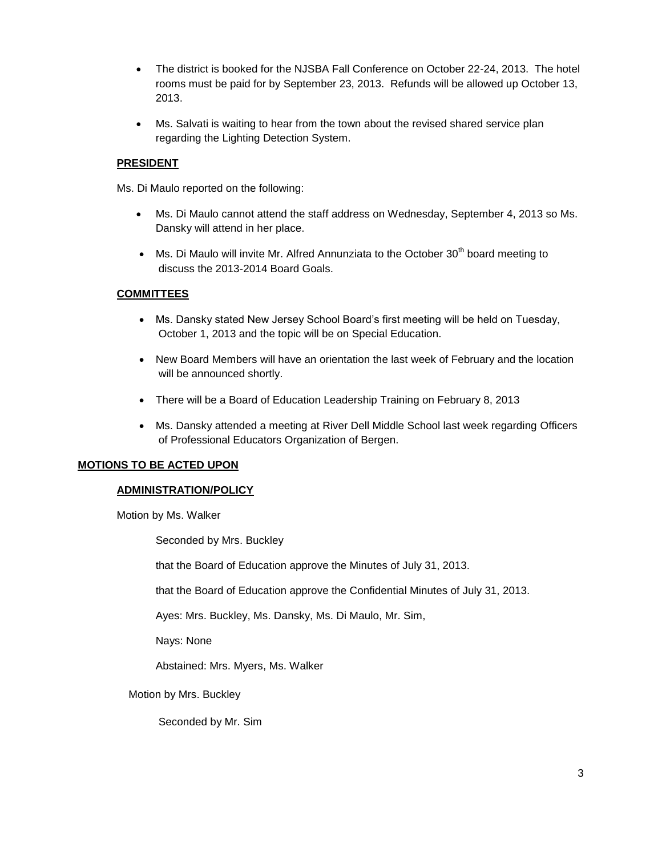- The district is booked for the NJSBA Fall Conference on October 22-24, 2013. The hotel rooms must be paid for by September 23, 2013. Refunds will be allowed up October 13, 2013.
- Ms. Salvati is waiting to hear from the town about the revised shared service plan regarding the Lighting Detection System.

## **PRESIDENT**

Ms. Di Maulo reported on the following:

- Ms. Di Maulo cannot attend the staff address on Wednesday, September 4, 2013 so Ms. Dansky will attend in her place.
- $\bullet$  Ms. Di Maulo will invite Mr. Alfred Annunziata to the October 30<sup>th</sup> board meeting to discuss the 2013-2014 Board Goals.

## **COMMITTEES**

- Ms. Dansky stated New Jersey School Board's first meeting will be held on Tuesday, October 1, 2013 and the topic will be on Special Education.
- New Board Members will have an orientation the last week of February and the location will be announced shortly.
- There will be a Board of Education Leadership Training on February 8, 2013
- Ms. Dansky attended a meeting at River Dell Middle School last week regarding Officers of Professional Educators Organization of Bergen.

## **MOTIONS TO BE ACTED UPON**

## **ADMINISTRATION/POLICY**

Motion by Ms. Walker

Seconded by Mrs. Buckley

that the Board of Education approve the Minutes of July 31, 2013.

that the Board of Education approve the Confidential Minutes of July 31, 2013.

Ayes: Mrs. Buckley, Ms. Dansky, Ms. Di Maulo, Mr. Sim,

Nays: None

Abstained: Mrs. Myers, Ms. Walker

Motion by Mrs. Buckley

Seconded by Mr. Sim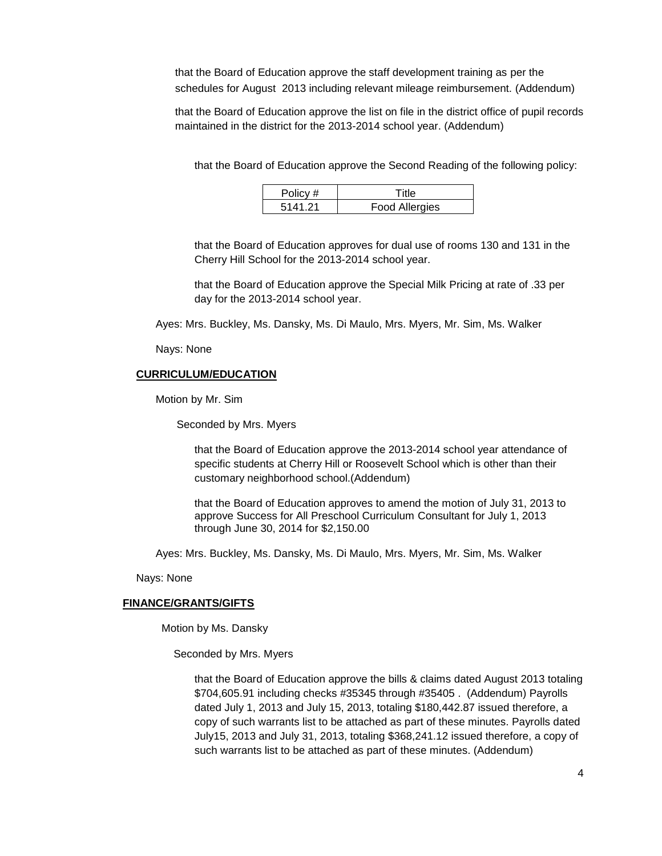that the Board of Education approve the staff development training as per the schedules for August 2013 including relevant mileage reimbursement. (Addendum)

that the Board of Education approve the list on file in the district office of pupil records maintained in the district for the 2013-2014 school year. (Addendum)

that the Board of Education approve the Second Reading of the following policy:

| Policy # | ⊿lit                  |  |
|----------|-----------------------|--|
| 5141 21  | <b>Food Allergies</b> |  |

that the Board of Education approves for dual use of rooms 130 and 131 in the Cherry Hill School for the 2013-2014 school year.

that the Board of Education approve the Special Milk Pricing at rate of .33 per day for the 2013-2014 school year.

Ayes: Mrs. Buckley, Ms. Dansky, Ms. Di Maulo, Mrs. Myers, Mr. Sim, Ms. Walker

Nays: None

## **CURRICULUM/EDUCATION**

Motion by Mr. Sim

Seconded by Mrs. Myers

that the Board of Education approve the 2013-2014 school year attendance of specific students at Cherry Hill or Roosevelt School which is other than their customary neighborhood school.(Addendum)

that the Board of Education approves to amend the motion of July 31, 2013 to approve Success for All Preschool Curriculum Consultant for July 1, 2013 through June 30, 2014 for \$2,150.00

Ayes: Mrs. Buckley, Ms. Dansky, Ms. Di Maulo, Mrs. Myers, Mr. Sim, Ms. Walker

Nays: None

#### **FINANCE/GRANTS/GIFTS**

Motion by Ms. Dansky

Seconded by Mrs. Myers

that the Board of Education approve the bills & claims dated August 2013 totaling \$704,605.91 including checks #35345 through #35405 . (Addendum) Payrolls dated July 1, 2013 and July 15, 2013, totaling \$180,442.87 issued therefore, a copy of such warrants list to be attached as part of these minutes. Payrolls dated July15, 2013 and July 31, 2013, totaling \$368,241.12 issued therefore, a copy of such warrants list to be attached as part of these minutes. (Addendum)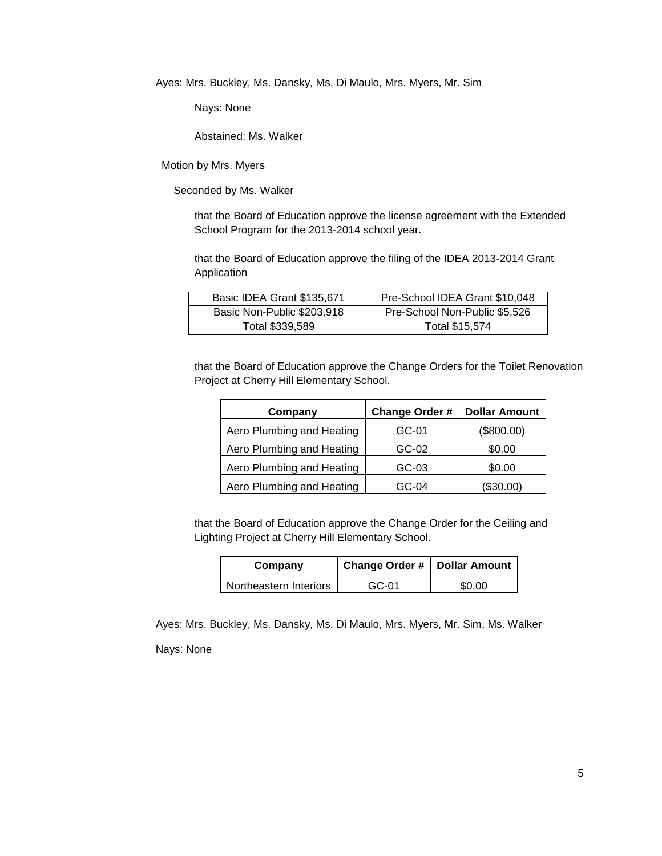Ayes: Mrs. Buckley, Ms. Dansky, Ms. Di Maulo, Mrs. Myers, Mr. Sim

Nays: None

Abstained: Ms. Walker

Motion by Mrs. Myers

Seconded by Ms. Walker

that the Board of Education approve the license agreement with the Extended School Program for the 2013-2014 school year.

that the Board of Education approve the filing of the IDEA 2013-2014 Grant Application

| Basic IDEA Grant \$135,671 | Pre-School IDEA Grant \$10,048 |
|----------------------------|--------------------------------|
| Basic Non-Public \$203,918 | Pre-School Non-Public \$5,526  |
| Total \$339,589            | Total \$15,574                 |

that the Board of Education approve the Change Orders for the Toilet Renovation Project at Cherry Hill Elementary School.

| Company                   | Change Order # | <b>Dollar Amount</b> |
|---------------------------|----------------|----------------------|
| Aero Plumbing and Heating | GC-01          | (\$800.00)           |
| Aero Plumbing and Heating | GC-02          | \$0.00               |
| Aero Plumbing and Heating | GC-03          | \$0.00               |
| Aero Plumbing and Heating | GC-04          | (\$30.00)            |

that the Board of Education approve the Change Order for the Ceiling and Lighting Project at Cherry Hill Elementary School.

| Company                | Change Order #   Dollar Amount |        |
|------------------------|--------------------------------|--------|
| Northeastern Interiors | $GC-01$                        | \$0.00 |

Ayes: Mrs. Buckley, Ms. Dansky, Ms. Di Maulo, Mrs. Myers, Mr. Sim, Ms. Walker Nays: None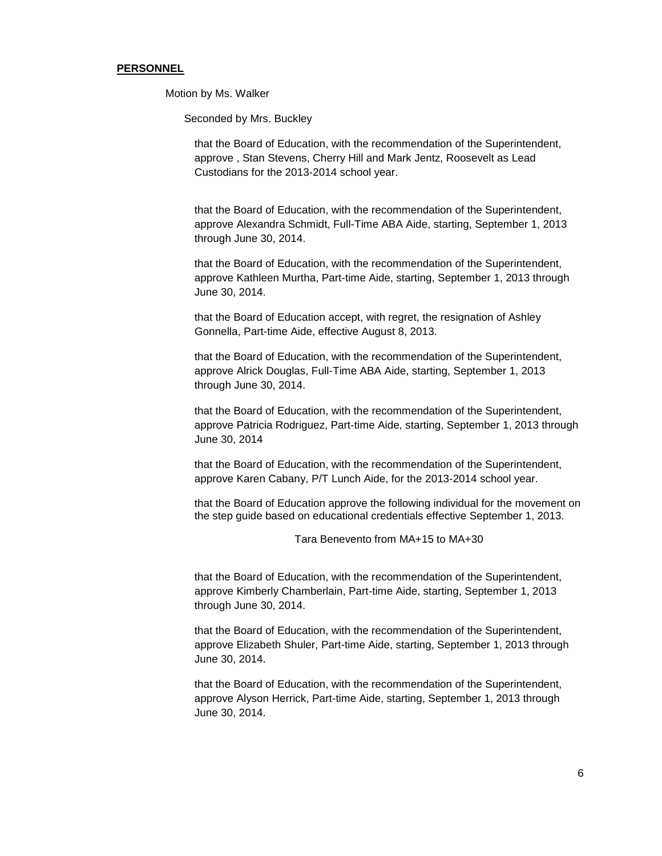#### **PERSONNEL**

Motion by Ms. Walker

Seconded by Mrs. Buckley

that the Board of Education, with the recommendation of the Superintendent, approve , Stan Stevens, Cherry Hill and Mark Jentz, Roosevelt as Lead Custodians for the 2013-2014 school year.

that the Board of Education, with the recommendation of the Superintendent, approve Alexandra Schmidt, Full-Time ABA Aide, starting, September 1, 2013 through June 30, 2014.

that the Board of Education, with the recommendation of the Superintendent, approve Kathleen Murtha, Part-time Aide, starting, September 1, 2013 through June 30, 2014.

that the Board of Education accept, with regret, the resignation of Ashley Gonnella, Part-time Aide, effective August 8, 2013.

that the Board of Education, with the recommendation of the Superintendent, approve Alrick Douglas, Full-Time ABA Aide, starting, September 1, 2013 through June 30, 2014.

that the Board of Education, with the recommendation of the Superintendent, approve Patricia Rodriguez, Part-time Aide, starting, September 1, 2013 through June 30, 2014

that the Board of Education, with the recommendation of the Superintendent, approve Karen Cabany, P/T Lunch Aide, for the 2013-2014 school year.

that the Board of Education approve the following individual for the movement on the step guide based on educational credentials effective September 1, 2013.

Tara Benevento from MA+15 to MA+30

that the Board of Education, with the recommendation of the Superintendent, approve Kimberly Chamberlain, Part-time Aide, starting, September 1, 2013 through June 30, 2014.

that the Board of Education, with the recommendation of the Superintendent, approve Elizabeth Shuler, Part-time Aide, starting, September 1, 2013 through June 30, 2014.

that the Board of Education, with the recommendation of the Superintendent, approve Alyson Herrick, Part-time Aide, starting, September 1, 2013 through June 30, 2014.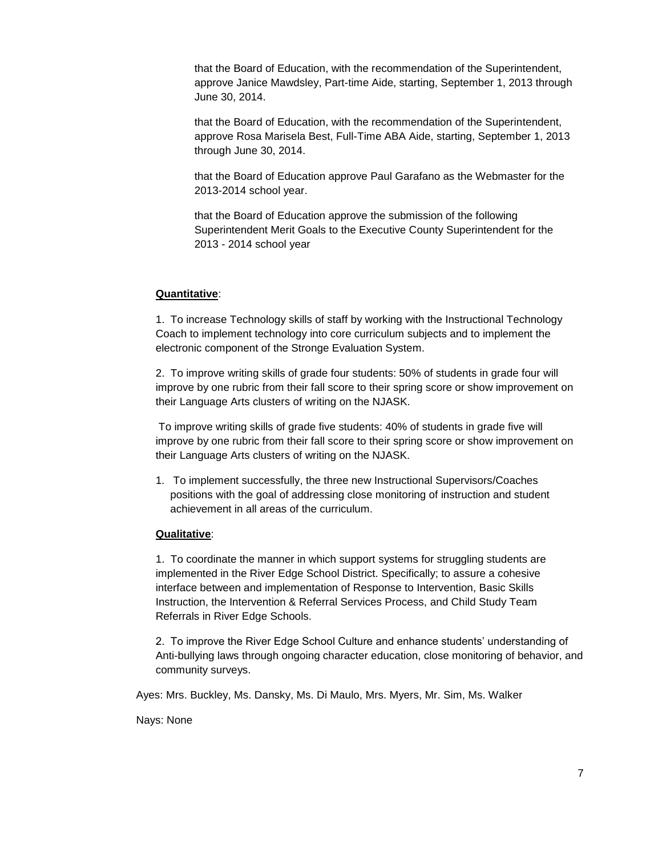that the Board of Education, with the recommendation of the Superintendent, approve Janice Mawdsley, Part-time Aide, starting, September 1, 2013 through June 30, 2014.

that the Board of Education, with the recommendation of the Superintendent, approve Rosa Marisela Best, Full-Time ABA Aide, starting, September 1, 2013 through June 30, 2014.

that the Board of Education approve Paul Garafano as the Webmaster for the 2013-2014 school year.

that the Board of Education approve the submission of the following Superintendent Merit Goals to the Executive County Superintendent for the 2013 - 2014 school year

## **Quantitative**:

1. To increase Technology skills of staff by working with the Instructional Technology Coach to implement technology into core curriculum subjects and to implement the electronic component of the Stronge Evaluation System.

2. To improve writing skills of grade four students: 50% of students in grade four will improve by one rubric from their fall score to their spring score or show improvement on their Language Arts clusters of writing on the NJASK.

To improve writing skills of grade five students: 40% of students in grade five will improve by one rubric from their fall score to their spring score or show improvement on their Language Arts clusters of writing on the NJASK.

1. To implement successfully, the three new Instructional Supervisors/Coaches positions with the goal of addressing close monitoring of instruction and student achievement in all areas of the curriculum.

## **Qualitative**:

1. To coordinate the manner in which support systems for struggling students are implemented in the River Edge School District. Specifically; to assure a cohesive interface between and implementation of Response to Intervention, Basic Skills Instruction, the Intervention & Referral Services Process, and Child Study Team Referrals in River Edge Schools.

2. To improve the River Edge School Culture and enhance students' understanding of Anti-bullying laws through ongoing character education, close monitoring of behavior, and community surveys.

Ayes: Mrs. Buckley, Ms. Dansky, Ms. Di Maulo, Mrs. Myers, Mr. Sim, Ms. Walker

Nays: None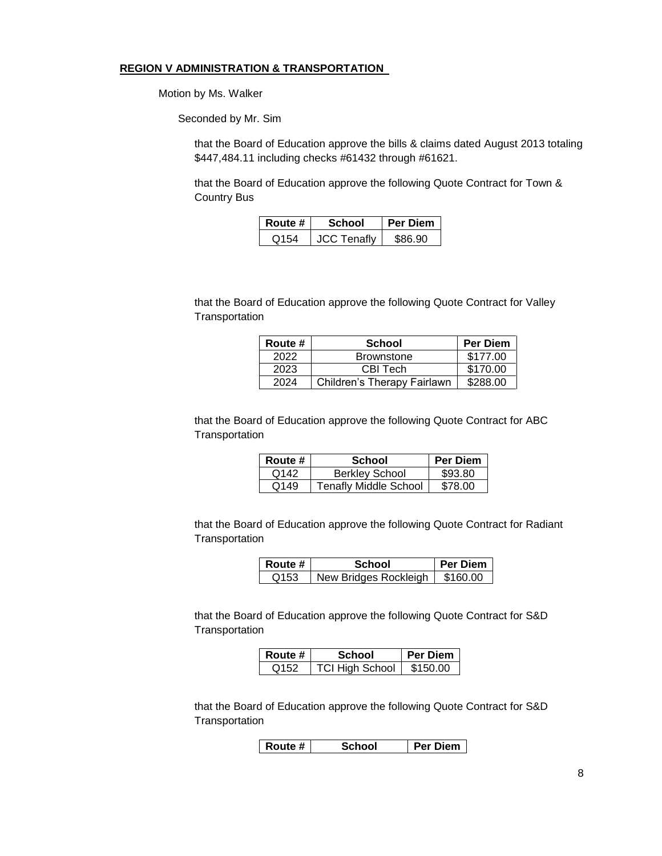#### **REGION V ADMINISTRATION & TRANSPORTATION**

Motion by Ms. Walker

Seconded by Mr. Sim

that the Board of Education approve the bills & claims dated August 2013 totaling \$447,484.11 including checks #61432 through #61621.

that the Board of Education approve the following Quote Contract for Town & Country Bus

| Route #          | School             | <b>Per Diem</b> |
|------------------|--------------------|-----------------|
| O <sub>154</sub> | <b>JCC Tenafly</b> | S86.90          |

that the Board of Education approve the following Quote Contract for Valley **Transportation** 

| Route # | <b>School</b>               | <b>Per Diem</b> |
|---------|-----------------------------|-----------------|
| 2022    | <b>Brownstone</b>           | \$177.00        |
| 2023    | CBI Tech                    | \$170.00        |
| 2024    | Children's Therapy Fairlawn | \$288.00        |

that the Board of Education approve the following Quote Contract for ABC **Transportation** 

| Route # | <b>School</b>                | <b>Per Diem</b> |
|---------|------------------------------|-----------------|
| Q142    | <b>Berkley School</b>        | \$93.80         |
| Q149    | <b>Tenafly Middle School</b> | \$78.00         |

that the Board of Education approve the following Quote Contract for Radiant **Transportation** 

| Route # | School                | l Per Diem l |
|---------|-----------------------|--------------|
| Q153    | New Bridges Rockleigh | \$160.00     |

that the Board of Education approve the following Quote Contract for S&D **Transportation** 

| Route #          | School                 | Per Diem |
|------------------|------------------------|----------|
| Q <sub>152</sub> | <b>TCI High School</b> | \$150.00 |

that the Board of Education approve the following Quote Contract for S&D **Transportation** 

**Route # School Per Diem**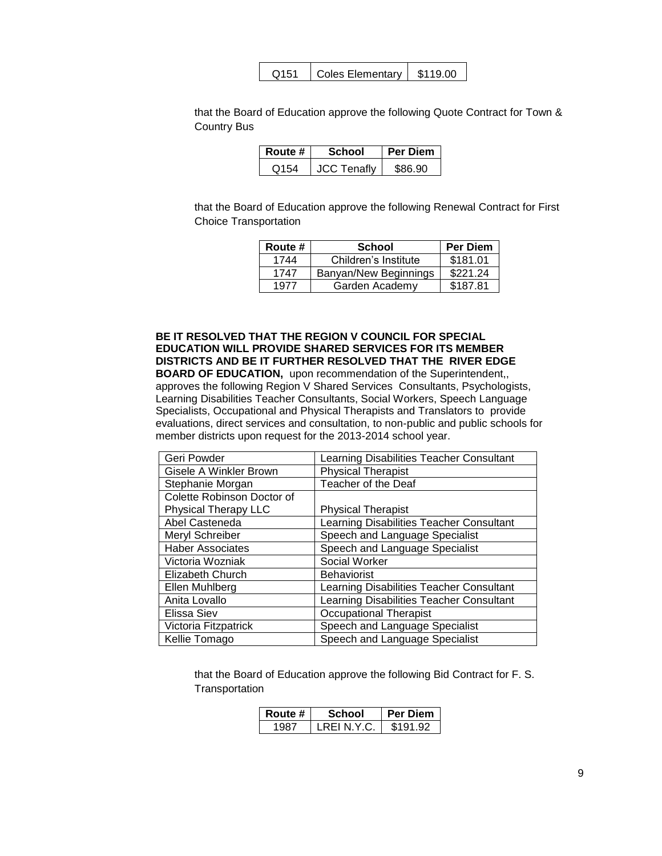| \$119.00<br>Coles Elementary<br>Q151 |
|--------------------------------------|
|--------------------------------------|

that the Board of Education approve the following Quote Contract for Town & Country Bus

| Route # | School             | <b>Per Diem</b> |
|---------|--------------------|-----------------|
| O154    | <b>JCC Tenafly</b> | \$86.90         |

that the Board of Education approve the following Renewal Contract for First Choice Transportation

| Route # | <b>School</b>         | <b>Per Diem</b> |
|---------|-----------------------|-----------------|
| 1744    | Children's Institute  | \$181.01        |
| 1747    | Banyan/New Beginnings | \$221.24        |
| 1977    | Garden Academy        | \$187.81        |

## **BE IT RESOLVED THAT THE REGION V COUNCIL FOR SPECIAL EDUCATION WILL PROVIDE SHARED SERVICES FOR ITS MEMBER DISTRICTS AND BE IT FURTHER RESOLVED THAT THE RIVER EDGE**

**BOARD OF EDUCATION,** upon recommendation of the Superintendent,, approves the following Region V Shared Services Consultants, Psychologists, Learning Disabilities Teacher Consultants, Social Workers, Speech Language Specialists, Occupational and Physical Therapists and Translators to provide evaluations, direct services and consultation, to non-public and public schools for member districts upon request for the 2013-2014 school year.

| Geri Powder                 | Learning Disabilities Teacher Consultant |
|-----------------------------|------------------------------------------|
| Gisele A Winkler Brown      | <b>Physical Therapist</b>                |
| Stephanie Morgan            | Teacher of the Deaf                      |
| Colette Robinson Doctor of  |                                          |
| <b>Physical Therapy LLC</b> | <b>Physical Therapist</b>                |
| Abel Casteneda              | Learning Disabilities Teacher Consultant |
| Meryl Schreiber             | Speech and Language Specialist           |
| <b>Haber Associates</b>     | Speech and Language Specialist           |
| Victoria Wozniak            | Social Worker                            |
| Elizabeth Church            | <b>Behaviorist</b>                       |
| Ellen Muhlberg              | Learning Disabilities Teacher Consultant |
| Anita Lovallo               | Learning Disabilities Teacher Consultant |
| Elissa Siev                 | <b>Occupational Therapist</b>            |
| Victoria Fitzpatrick        | Speech and Language Specialist           |
| Kellie Tomago               | Speech and Language Specialist           |

that the Board of Education approve the following Bid Contract for F. S. **Transportation** 

| Route # | School      | <b>Per Diem</b> |
|---------|-------------|-----------------|
| . QR7   | I REI N Y C | \$191.92        |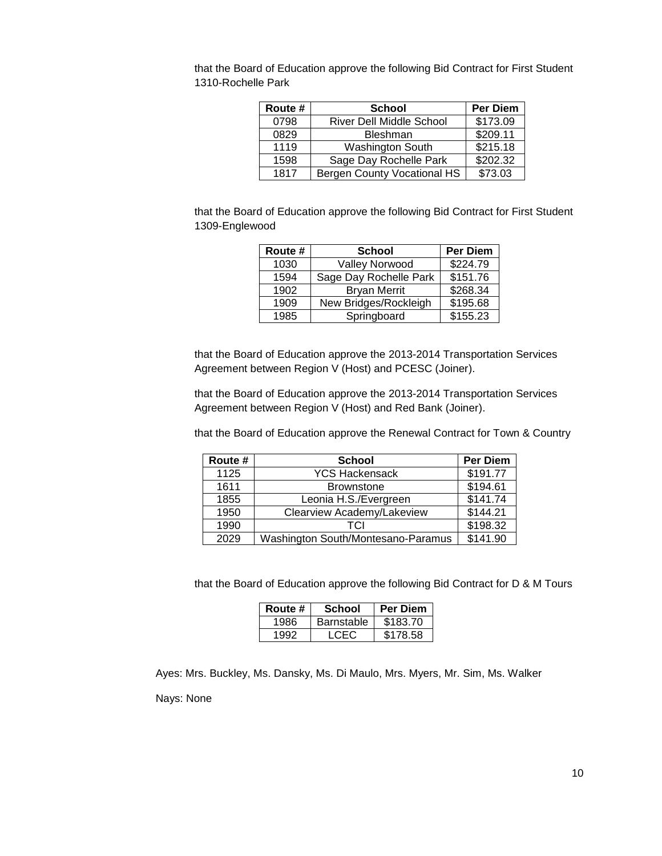that the Board of Education approve the following Bid Contract for First Student 1310-Rochelle Park

| Route # | <b>School</b>                      | <b>Per Diem</b> |
|---------|------------------------------------|-----------------|
| 0798    | <b>River Dell Middle School</b>    | \$173.09        |
| 0829    | <b>Bleshman</b>                    | \$209.11        |
| 1119    | Washington South                   | \$215.18        |
| 1598    | Sage Day Rochelle Park             | \$202.32        |
| 1817    | <b>Bergen County Vocational HS</b> | \$73.03         |

that the Board of Education approve the following Bid Contract for First Student 1309-Englewood

| Route # | <b>School</b>          | <b>Per Diem</b> |
|---------|------------------------|-----------------|
| 1030    | Valley Norwood         | \$224.79        |
| 1594    | Sage Day Rochelle Park | \$151.76        |
| 1902    | <b>Bryan Merrit</b>    | \$268.34        |
| 1909    | New Bridges/Rockleigh  | \$195.68        |
| 1985    | Springboard            | \$155.23        |

that the Board of Education approve the 2013-2014 Transportation Services Agreement between Region V (Host) and PCESC (Joiner).

that the Board of Education approve the 2013-2014 Transportation Services Agreement between Region V (Host) and Red Bank (Joiner).

that the Board of Education approve the Renewal Contract for Town & Country

| Route # | <b>School</b>                      | <b>Per Diem</b> |
|---------|------------------------------------|-----------------|
| 1125    | <b>YCS Hackensack</b>              | \$191.77        |
| 1611    | <b>Brownstone</b>                  | \$194.61        |
| 1855    | Leonia H.S./Evergreen              | \$141.74        |
| 1950    | Clearview Academy/Lakeview         | \$144.21        |
| 1990    | TCI                                | \$198.32        |
| 2029    | Washington South/Montesano-Paramus | \$141.90        |

that the Board of Education approve the following Bid Contract for D & M Tours

| Route # | School            | <b>Per Diem</b> |
|---------|-------------------|-----------------|
| 1986    | <b>Barnstable</b> | \$183.70        |
| 1992    | LCEC.             | \$178.58        |

Ayes: Mrs. Buckley, Ms. Dansky, Ms. Di Maulo, Mrs. Myers, Mr. Sim, Ms. Walker

Nays: None